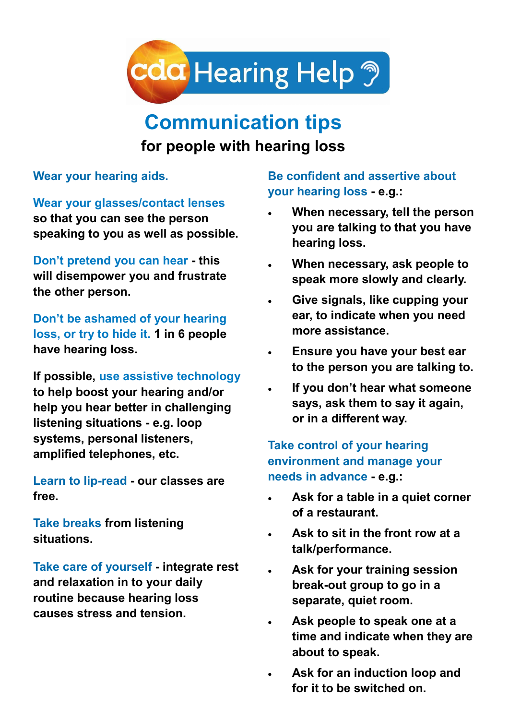

## **Communication tips**

## **for people with hearing loss**

**Wear your hearing aids.** 

**Wear your glasses/contact lenses** 

**so that you can see the person speaking to you as well as possible.**

**Don't pretend you can hear - this will disempower you and frustrate the other person.** 

**Don't be ashamed of your hearing loss, or try to hide it. 1 in 6 people have hearing loss.**

**If possible, use assistive technology to help boost your hearing and/or help you hear better in challenging listening situations - e.g. loop systems, personal listeners, amplified telephones, etc.** 

**Learn to lip-read - our classes are free.** 

**Take breaks from listening situations.** 

**Take care of yourself - integrate rest and relaxation in to your daily routine because hearing loss causes stress and tension.**

**Be confident and assertive about your hearing loss - e.g.:**

- **When necessary, tell the person you are talking to that you have hearing loss.**
- **When necessary, ask people to speak more slowly and clearly.**
- **Give signals, like cupping your ear, to indicate when you need more assistance.**
- **Ensure you have your best ear to the person you are talking to.**
- **If you don't hear what someone says, ask them to say it again, or in a different way.**

**Take control of your hearing environment and manage your needs in advance - e.g.:**

- **Ask for a table in a quiet corner of a restaurant.**
- **Ask to sit in the front row at a talk/performance.**
- **Ask for your training session break-out group to go in a separate, quiet room.**
- **Ask people to speak one at a time and indicate when they are about to speak.**
- **Ask for an induction loop and for it to be switched on.**